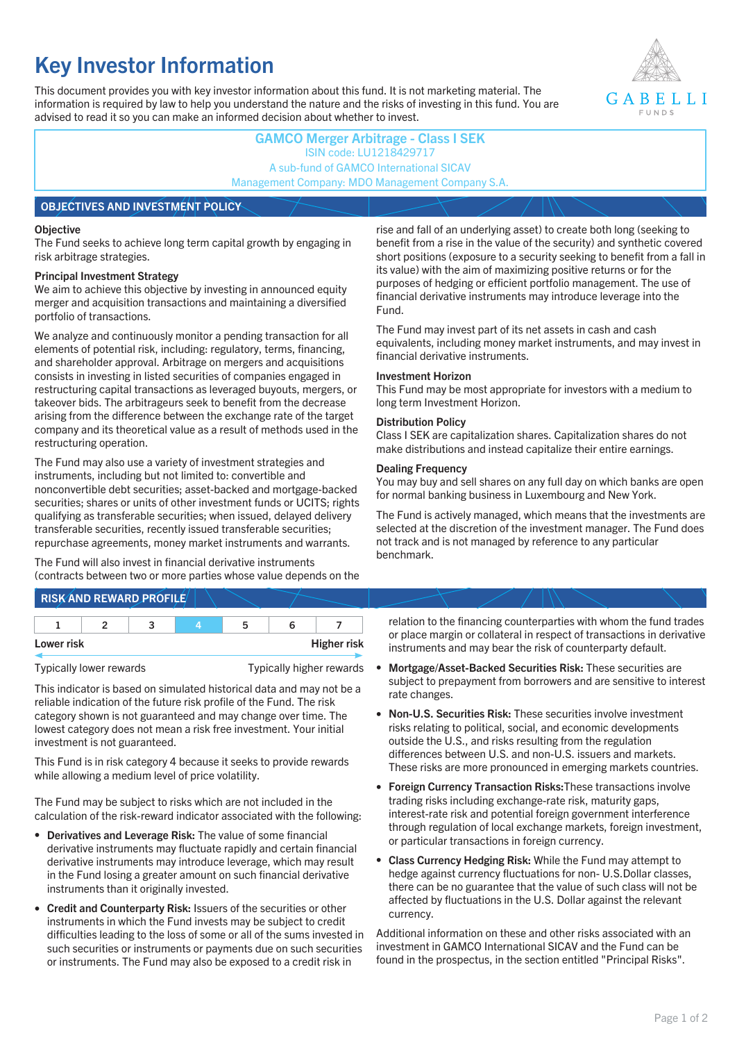# **Key Investor Information**

This document provides you with key investor information about this fund. It is not marketing material. The information is required by law to help you understand the nature and the risks of investing in this fund. You are advised to read it so you can make an informed decision about whether to invest.



# **GAMCO Merger Arbitrage - Class I SEK** ISIN code: LU1218429717 A sub-fund of GAMCO International SICAV Management Company: MDO Management Company S.A. **OBJECTIVES AND INVESTMENT POLICY**

#### **Objective**

The Fund seeks to achieve long term capital growth by engaging in risk arbitrage strategies.

#### **Principal Investment Strategy**

We aim to achieve this objective by investing in announced equity merger and acquisition transactions and maintaining a diversified portfolio of transactions.

We analyze and continuously monitor a pending transaction for all elements of potential risk, including: regulatory, terms, financing, and shareholder approval. Arbitrage on mergers and acquisitions consists in investing in listed securities of companies engaged in restructuring capital transactions as leveraged buyouts, mergers, or takeover bids. The arbitrageurs seek to benefit from the decrease arising from the difference between the exchange rate of the target company and its theoretical value as a result of methods used in the restructuring operation.

The Fund may also use a variety of investment strategies and instruments, including but not limited to: convertible and nonconvertible debt securities; asset-backed and mortgage-backed securities; shares or units of other investment funds or UCITS; rights qualifying as transferable securities; when issued, delayed delivery transferable securities, recently issued transferable securities; repurchase agreements, money market instruments and warrants.

The Fund will also invest in financial derivative instruments (contracts between two or more parties whose value depends on the rise and fall of an underlying asset) to create both long (seeking to benefit from a rise in the value of the security) and synthetic covered short positions (exposure to a security seeking to benefit from a fall in its value) with the aim of maximizing positive returns or for the purposes of hedging or efficient portfolio management. The use of financial derivative instruments may introduce leverage into the Fund.

The Fund may invest part of its net assets in cash and cash equivalents, including money market instruments, and may invest in financial derivative instruments.

#### **Investment Horizon**

This Fund may be most appropriate for investors with a medium to long term Investment Horizon.

#### **Distribution Policy**

Class I SEK are capitalization shares. Capitalization shares do not make distributions and instead capitalize their entire earnings.

#### **Dealing Frequency**

You may buy and sell shares on any full day on which banks are open for normal banking business in Luxembourg and New York.

The Fund is actively managed, which means that the investments are selected at the discretion of the investment manager. The Fund does not track and is not managed by reference to any particular benchmark.

# **RISK AND REWARD PROFILE**

| Lower risk |  |  | <b>Higher risk</b> |
|------------|--|--|--------------------|

Typically lower rewards Typically higher rewards

This indicator is based on simulated historical data and may not be a reliable indication of the future risk profile of the Fund. The risk category shown is not guaranteed and may change over time. The lowest category does not mean a risk free investment. Your initial investment is not guaranteed.

This Fund is in risk category 4 because it seeks to provide rewards while allowing a medium level of price volatility.

The Fund may be subject to risks which are not included in the calculation of the risk-reward indicator associated with the following:

- **Derivatives and Leverage Risk:** The value of some financial derivative instruments may fluctuate rapidly and certain financial derivative instruments may introduce leverage, which may result in the Fund losing a greater amount on such financial derivative instruments than it originally invested.
- **Credit and Counterparty Risk:** Issuers of the securities or other instruments in which the Fund invests may be subject to credit difficulties leading to the loss of some or all of the sums invested in such securities or instruments or payments due on such securities or instruments. The Fund may also be exposed to a credit risk in

relation to the financing counterparties with whom the fund trades or place margin or collateral in respect of transactions in derivative instruments and may bear the risk of counterparty default.

- **Mortgage/Asset-Backed Securities Risk:** These securities are subject to prepayment from borrowers and are sensitive to interest rate changes.
- **Non-U.S. Securities Risk:** These securities involve investment risks relating to political, social, and economic developments outside the U.S., and risks resulting from the regulation differences between U.S. and non-U.S. issuers and markets. These risks are more pronounced in emerging markets countries.
- **Foreign Currency Transaction Risks:**These transactions involve trading risks including exchange-rate risk, maturity gaps, interest-rate risk and potential foreign government interference through regulation of local exchange markets, foreign investment, or particular transactions in foreign currency.
- **Class Currency Hedging Risk:** While the Fund may attempt to hedge against currency fluctuations for non- U.S.Dollar classes, there can be no guarantee that the value of such class will not be affected by fluctuations in the U.S. Dollar against the relevant currency.

Additional information on these and other risks associated with an investment in GAMCO International SICAV and the Fund can be found in the prospectus, in the section entitled "Principal Risks".